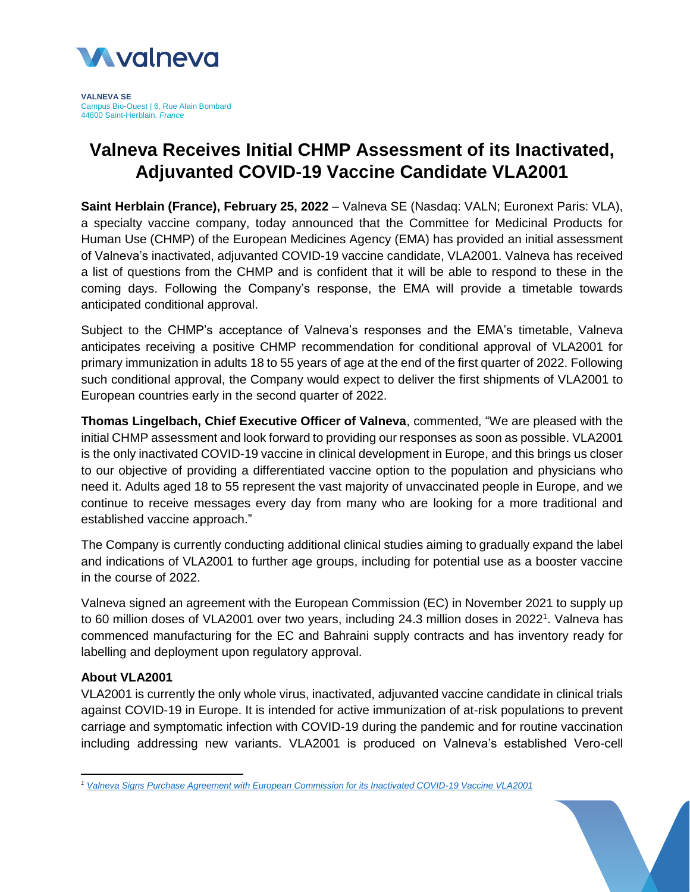

**VALNEVA SE** Campus Bio-Ouest | 6, Rue Alain Bombard 44800 Saint-Herblain, *France*

# **Valneva Receives Initial CHMP Assessment of its Inactivated, Adjuvanted COVID-19 Vaccine Candidate VLA2001**

**Saint Herblain (France), February 25, 2022** – Valneva SE (Nasdaq: VALN; Euronext Paris: VLA), a specialty vaccine company, today announced that the Committee for Medicinal Products for Human Use (CHMP) of the European Medicines Agency (EMA) has provided an initial assessment of Valneva's inactivated, adjuvanted COVID-19 vaccine candidate, VLA2001. Valneva has received a list of questions from the CHMP and is confident that it will be able to respond to these in the coming days. Following the Company's response, the EMA will provide a timetable towards anticipated conditional approval.

Subject to the CHMP's acceptance of Valneva's responses and the EMA's timetable, Valneva anticipates receiving a positive CHMP recommendation for conditional approval of VLA2001 for primary immunization in adults 18 to 55 years of age at the end of the first quarter of 2022. Following such conditional approval, the Company would expect to deliver the first shipments of VLA2001 to European countries early in the second quarter of 2022.

**Thomas Lingelbach, Chief Executive Officer of Valneva**, commented, "We are pleased with the initial CHMP assessment and look forward to providing our responses as soon as possible. VLA2001 is the only inactivated COVID-19 vaccine in clinical development in Europe, and this brings us closer to our objective of providing a differentiated vaccine option to the population and physicians who need it. Adults aged 18 to 55 represent the vast majority of unvaccinated people in Europe, and we continue to receive messages every day from many who are looking for a more traditional and established vaccine approach."

The Company is currently conducting additional clinical studies aiming to gradually expand the label and indications of VLA2001 to further age groups, including for potential use as a booster vaccine in the course of 2022.

Valneva signed an agreement with the European Commission (EC) in November 2021 to supply up to 60 million doses of VLA2001 over two years, including 24.3 million doses in 2022<sup>1</sup>. Valneva has commenced manufacturing for the EC and Bahraini supply contracts and has inventory ready for labelling and deployment upon regulatory approval.

## **About VLA2001**

VLA2001 is currently the only whole virus, inactivated, adjuvanted vaccine candidate in clinical trials against COVID-19 in Europe. It is intended for active immunization of at-risk populations to prevent carriage and symptomatic infection with COVID-19 during the pandemic and for routine vaccination including addressing new variants. VLA2001 is produced on Valneva's established Vero-cell

 $\overline{\phantom{a}}$ *<sup>1</sup> [Valneva Signs Purchase Agreement with European Commission for its Inactivated COVID-19 Vaccine VLA2001](https://valneva.com/press-release/valneva-signs-purchase-agreement-with-european-commission-for-its-inactivated-covid-19-vaccine-vla2001/)*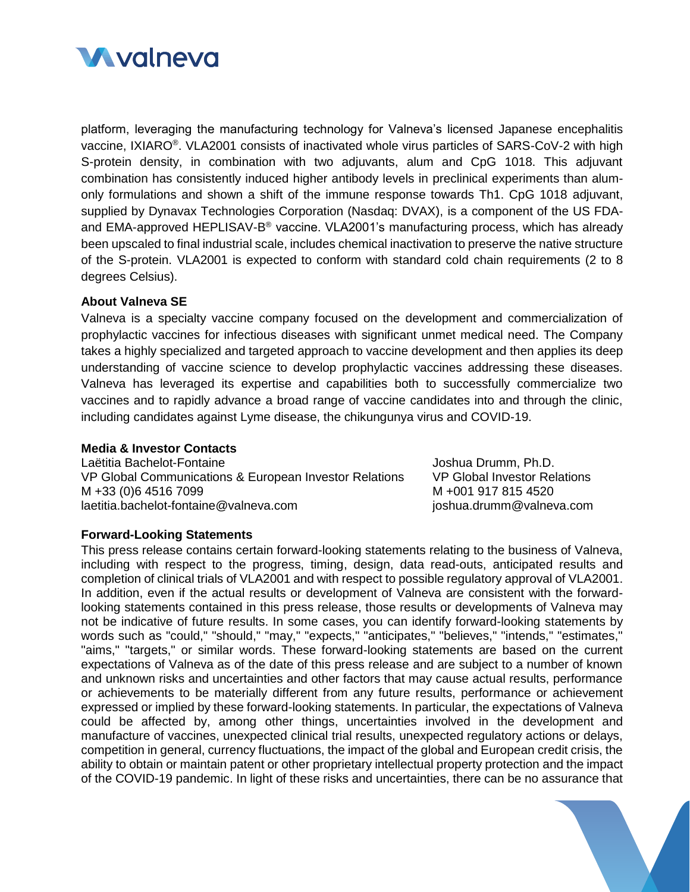

platform, leveraging the manufacturing technology for Valneva's licensed Japanese encephalitis vaccine, IXIARO<sup>®</sup>. VLA2001 consists of inactivated whole virus particles of SARS-CoV-2 with high S-protein density, in combination with two adjuvants, alum and CpG 1018. This adjuvant combination has consistently induced higher antibody levels in preclinical experiments than alumonly formulations and shown a shift of the immune response towards Th1. CpG 1018 adjuvant, supplied by Dynavax Technologies Corporation (Nasdaq: DVAX), is a component of the US FDAand EMA-approved HEPLISAV-B® vaccine. VLA2001's manufacturing process, which has already been upscaled to final industrial scale, includes chemical inactivation to preserve the native structure of the S-protein. VLA2001 is expected to conform with standard cold chain requirements (2 to 8 degrees Celsius).

### **About Valneva SE**

Valneva is a specialty vaccine company focused on the development and commercialization of prophylactic vaccines for infectious diseases with significant unmet medical need. The Company takes a highly specialized and targeted approach to vaccine development and then applies its deep understanding of vaccine science to develop prophylactic vaccines addressing these diseases. Valneva has leveraged its expertise and capabilities both to successfully commercialize two vaccines and to rapidly advance a broad range of vaccine candidates into and through the clinic, including candidates against Lyme disease, the chikungunya virus and COVID-19.

### **Media & Investor Contacts**

Laëtitia Bachelot-Fontaine VP Global Communications & European Investor Relations M +33 (0)6 4516 7099 laetitia.bachelot-fontaine@valneva.com

Joshua Drumm, Ph.D. VP Global Investor Relations M +001 917 815 4520 joshua.drumm@valneva.com

### **Forward-Looking Statements**

This press release contains certain forward-looking statements relating to the business of Valneva, including with respect to the progress, timing, design, data read-outs, anticipated results and completion of clinical trials of VLA2001 and with respect to possible regulatory approval of VLA2001. In addition, even if the actual results or development of Valneva are consistent with the forwardlooking statements contained in this press release, those results or developments of Valneva may not be indicative of future results. In some cases, you can identify forward-looking statements by words such as "could," "should," "may," "expects," "anticipates," "believes," "intends," "estimates," "aims," "targets," or similar words. These forward-looking statements are based on the current expectations of Valneva as of the date of this press release and are subject to a number of known and unknown risks and uncertainties and other factors that may cause actual results, performance or achievements to be materially different from any future results, performance or achievement expressed or implied by these forward-looking statements. In particular, the expectations of Valneva could be affected by, among other things, uncertainties involved in the development and manufacture of vaccines, unexpected clinical trial results, unexpected regulatory actions or delays, competition in general, currency fluctuations, the impact of the global and European credit crisis, the ability to obtain or maintain patent or other proprietary intellectual property protection and the impact of the COVID-19 pandemic. In light of these risks and uncertainties, there can be no assurance that